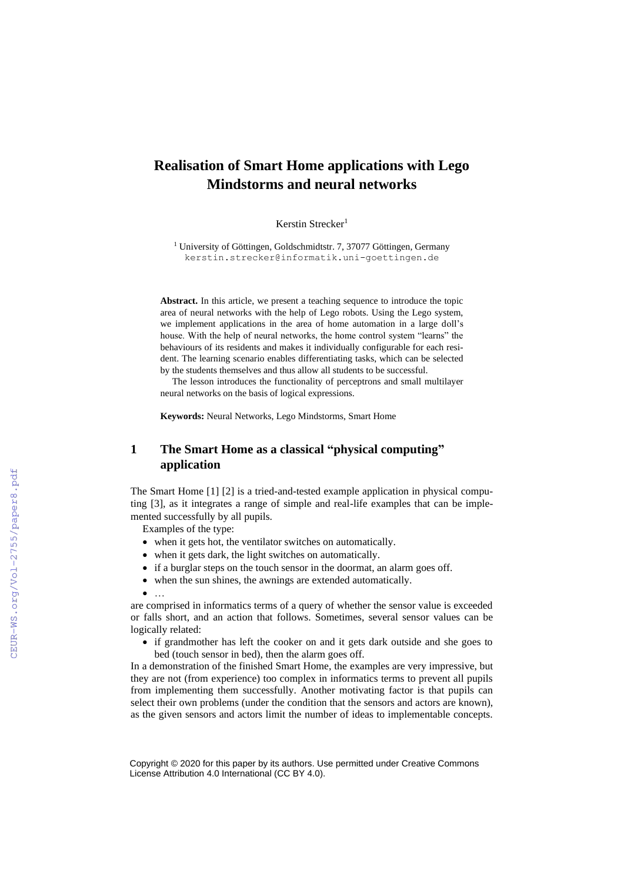# **Realisation of Smart Home applications with Lego Mindstorms and neural networks**

Kerstin Strecker<sup>1</sup>

<sup>1</sup> University of Göttingen, Goldschmidtstr. 7, 37077 Göttingen, Germany kerstin.strecker@informatik.uni-goettingen.de

**Abstract.** In this article, we present a teaching sequence to introduce the topic area of neural networks with the help of Lego robots. Using the Lego system, we implement applications in the area of home automation in a large doll's house. With the help of neural networks, the home control system "learns" the behaviours of its residents and makes it individually configurable for each resident. The learning scenario enables differentiating tasks, which can be selected by the students themselves and thus allow all students to be successful.

The lesson introduces the functionality of perceptrons and small multilayer neural networks on the basis of logical expressions.

**Keywords:** Neural Networks, Lego Mindstorms, Smart Home

## **1 The Smart Home as a classical "physical computing" application**

The Smart Home [1] [2] is a tried-and-tested example application in physical computing [3], as it integrates a range of simple and real-life examples that can be implemented successfully by all pupils.

Examples of the type:

- when it gets hot, the ventilator switches on automatically.
- when it gets dark, the light switches on automatically.
- if a burglar steps on the touch sensor in the doormat, an alarm goes off.
- when the sun shines, the awnings are extended automatically.

• …

are comprised in informatics terms of a query of whether the sensor value is exceeded or falls short, and an action that follows. Sometimes, several sensor values can be logically related:

• if grandmother has left the cooker on and it gets dark outside and she goes to bed (touch sensor in bed), then the alarm goes off.

In a demonstration of the finished Smart Home, the examples are very impressive, but they are not (from experience) too complex in informatics terms to prevent all pupils from implementing them successfully. Another motivating factor is that pupils can select their own problems (under the condition that the sensors and actors are known), as the given sensors and actors limit the number of ideas to implementable concepts.

Copyright © 2020 for this paper by its authors. Use permitted under Creative Commons License Attribution 4.0 International (CC BY 4.0).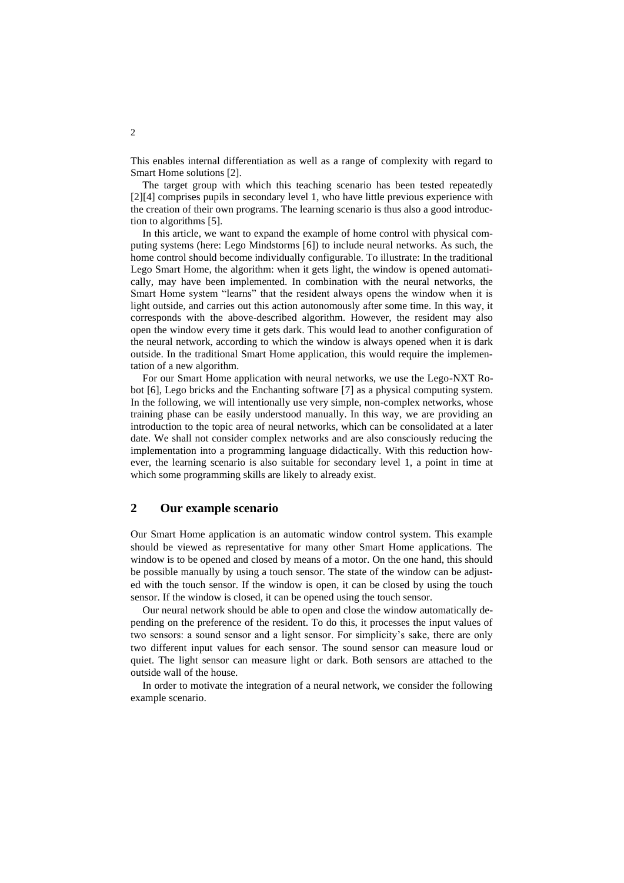This enables internal differentiation as well as a range of complexity with regard to Smart Home solutions [2].

The target group with which this teaching scenario has been tested repeatedly [2][4] comprises pupils in secondary level 1, who have little previous experience with the creation of their own programs. The learning scenario is thus also a good introduction to algorithms [5].

In this article, we want to expand the example of home control with physical computing systems (here: Lego Mindstorms [6]) to include neural networks. As such, the home control should become individually configurable. To illustrate: In the traditional Lego Smart Home, the algorithm: when it gets light, the window is opened automatically, may have been implemented. In combination with the neural networks, the Smart Home system "learns" that the resident always opens the window when it is light outside, and carries out this action autonomously after some time. In this way, it corresponds with the above-described algorithm. However, the resident may also open the window every time it gets dark. This would lead to another configuration of the neural network, according to which the window is always opened when it is dark outside. In the traditional Smart Home application, this would require the implementation of a new algorithm.

For our Smart Home application with neural networks, we use the Lego-NXT Robot [6], Lego bricks and the Enchanting software [7] as a physical computing system. In the following, we will intentionally use very simple, non-complex networks, whose training phase can be easily understood manually. In this way, we are providing an introduction to the topic area of neural networks, which can be consolidated at a later date. We shall not consider complex networks and are also consciously reducing the implementation into a programming language didactically. With this reduction however, the learning scenario is also suitable for secondary level 1, a point in time at which some programming skills are likely to already exist.

### **2 Our example scenario**

Our Smart Home application is an automatic window control system. This example should be viewed as representative for many other Smart Home applications. The window is to be opened and closed by means of a motor. On the one hand, this should be possible manually by using a touch sensor. The state of the window can be adjusted with the touch sensor. If the window is open, it can be closed by using the touch sensor. If the window is closed, it can be opened using the touch sensor.

Our neural network should be able to open and close the window automatically depending on the preference of the resident. To do this, it processes the input values of two sensors: a sound sensor and a light sensor. For simplicity's sake, there are only two different input values for each sensor. The sound sensor can measure loud or quiet. The light sensor can measure light or dark. Both sensors are attached to the outside wall of the house.

In order to motivate the integration of a neural network, we consider the following example scenario.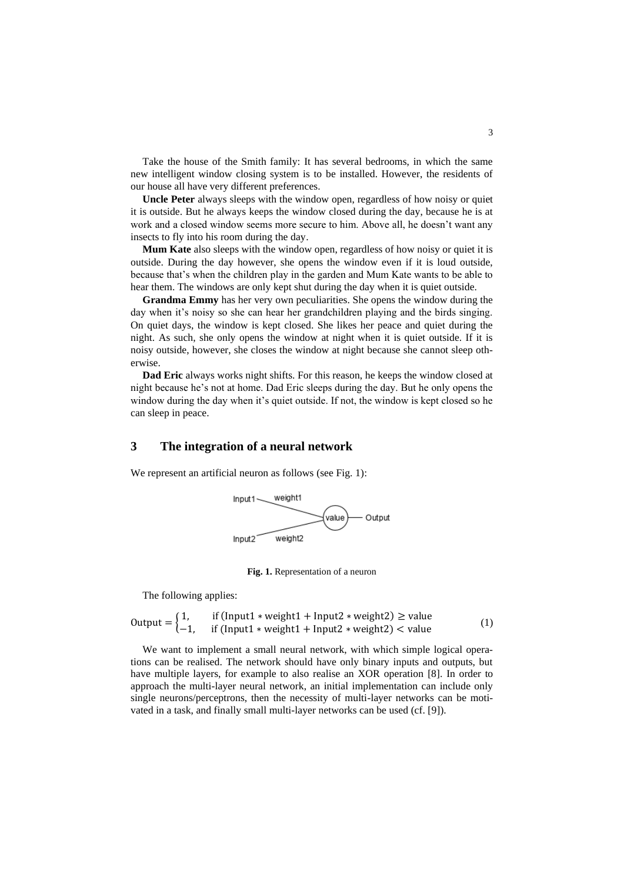Take the house of the Smith family: It has several bedrooms, in which the same new intelligent window closing system is to be installed. However, the residents of our house all have very different preferences.

**Uncle Peter** always sleeps with the window open, regardless of how noisy or quiet it is outside. But he always keeps the window closed during the day, because he is at work and a closed window seems more secure to him. Above all, he doesn't want any insects to fly into his room during the day.

**Mum Kate** also sleeps with the window open, regardless of how noisy or quiet it is outside. During the day however, she opens the window even if it is loud outside, because that's when the children play in the garden and Mum Kate wants to be able to hear them. The windows are only kept shut during the day when it is quiet outside.

**Grandma Emmy** has her very own peculiarities. She opens the window during the day when it's noisy so she can hear her grandchildren playing and the birds singing. On quiet days, the window is kept closed. She likes her peace and quiet during the night. As such, she only opens the window at night when it is quiet outside. If it is noisy outside, however, she closes the window at night because she cannot sleep otherwise.

**Dad Eric** always works night shifts. For this reason, he keeps the window closed at night because he's not at home. Dad Eric sleeps during the day. But he only opens the window during the day when it's quiet outside. If not, the window is kept closed so he can sleep in peace.

### **3 The integration of a neural network**

We represent an artificial neuron as follows (see Fig. 1):



**Fig. 1.** Representation of a neuron

The following applies:

Output = 
$$
\begin{cases} 1, & \text{if (Input1 * weight1 + Input2 * weight2)} \ge \text{value} \\ -1, & \text{if (Input1 * weight1 + Input2 * weight2)} < \text{value} \end{cases}
$$
 (1)

We want to implement a small neural network, with which simple logical operations can be realised. The network should have only binary inputs and outputs, but have multiple layers, for example to also realise an XOR operation [8]. In order to approach the multi-layer neural network, an initial implementation can include only single neurons/perceptrons, then the necessity of multi-layer networks can be motivated in a task, and finally small multi-layer networks can be used (cf. [9]).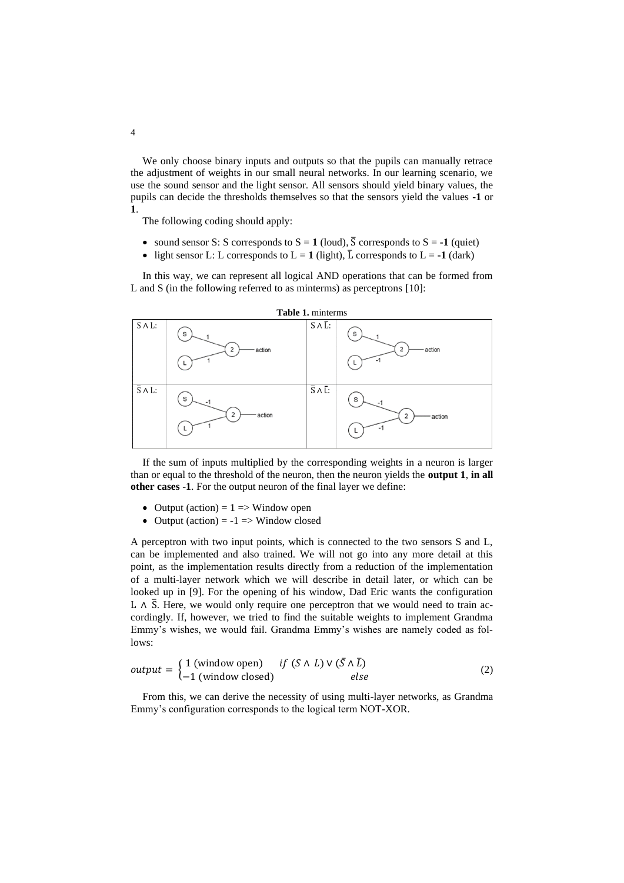We only choose binary inputs and outputs so that the pupils can manually retrace the adjustment of weights in our small neural networks. In our learning scenario, we use the sound sensor and the light sensor. All sensors should yield binary values, the pupils can decide the thresholds themselves so that the sensors yield the values **-1** or **1**.

The following coding should apply:

- sound sensor S: S corresponds to  $S = 1$  (loud),  $\overline{S}$  corresponds to  $S = -1$  (quiet)
- light sensor L: L corresponds to  $L = 1$  (light),  $\overline{L}$  corresponds to  $L = -1$  (dark)

In this way, we can represent all logical AND operations that can be formed from L and S (in the following referred to as minterms) as perceptrons [10]:



If the sum of inputs multiplied by the corresponding weights in a neuron is larger than or equal to the threshold of the neuron, then the neuron yields the **output 1**, **in all other cases -1**. For the output neuron of the final layer we define:

- Output (action) =  $1 \Rightarrow$  Window open
- Output (action) =  $-1$  => Window closed

A perceptron with two input points, which is connected to the two sensors S and L, can be implemented and also trained. We will not go into any more detail at this point, as the implementation results directly from a reduction of the implementation of a multi-layer network which we will describe in detail later, or which can be looked up in [9]. For the opening of his window, Dad Eric wants the configuration L ∧  $\overline{S}$ . Here, we would only require one perceptron that we would need to train accordingly. If, however, we tried to find the suitable weights to implement Grandma Emmy's wishes, we would fail. Grandma Emmy's wishes are namely coded as follows:

$$
output = \begin{cases} 1 \text{ (window open)} & \text{if } (S \land L) \lor (\bar{S} \land \bar{L}) \\ -1 \text{ (window closed)} & \text{else} \end{cases}
$$
 (2)

From this, we can derive the necessity of using multi-layer networks, as Grandma Emmy's configuration corresponds to the logical term NOT-XOR.

4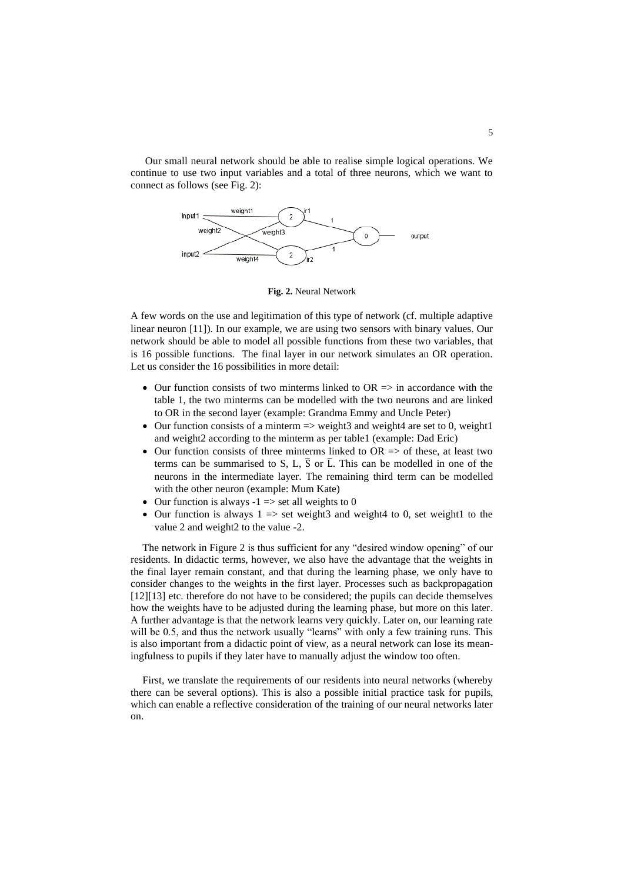Our small neural network should be able to realise simple logical operations. We continue to use two input variables and a total of three neurons, which we want to connect as follows (see Fig. 2):



**Fig. 2.** Neural Network

A few words on the use and legitimation of this type of network (cf. multiple adaptive linear neuron [11]). In our example, we are using two sensors with binary values. Our network should be able to model all possible functions from these two variables, that is 16 possible functions. The final layer in our network simulates an OR operation. Let us consider the 16 possibilities in more detail:

- Our function consists of two minterms linked to  $OR \Rightarrow$  in accordance with the table 1, the two minterms can be modelled with the two neurons and are linked to OR in the second layer (example: Grandma Emmy and Uncle Peter)
- Our function consists of a minterm  $\Rightarrow$  weight3 and weight4 are set to 0, weight1 and weight2 according to the minterm as per table1 (example: Dad Eric)
- Our function consists of three minterms linked to  $OR \Rightarrow$  of these, at least two terms can be summarised to S, L,  $\overline{S}$  or  $\overline{L}$ . This can be modelled in one of the neurons in the intermediate layer. The remaining third term can be modelled with the other neuron (example: Mum Kate)
- Our function is always  $-1 \implies$  set all weights to 0
- Our function is always  $1 \Rightarrow$  set weight3 and weight4 to 0, set weight1 to the value 2 and weight2 to the value -2.

The network in Figure 2 is thus sufficient for any "desired window opening" of our residents. In didactic terms, however, we also have the advantage that the weights in the final layer remain constant, and that during the learning phase, we only have to consider changes to the weights in the first layer. Processes such as backpropagation [12][13] etc. therefore do not have to be considered; the pupils can decide themselves how the weights have to be adjusted during the learning phase, but more on this later. A further advantage is that the network learns very quickly. Later on, our learning rate will be 0.5, and thus the network usually "learns" with only a few training runs. This is also important from a didactic point of view, as a neural network can lose its meaningfulness to pupils if they later have to manually adjust the window too often.

First, we translate the requirements of our residents into neural networks (whereby there can be several options). This is also a possible initial practice task for pupils, which can enable a reflective consideration of the training of our neural networks later on.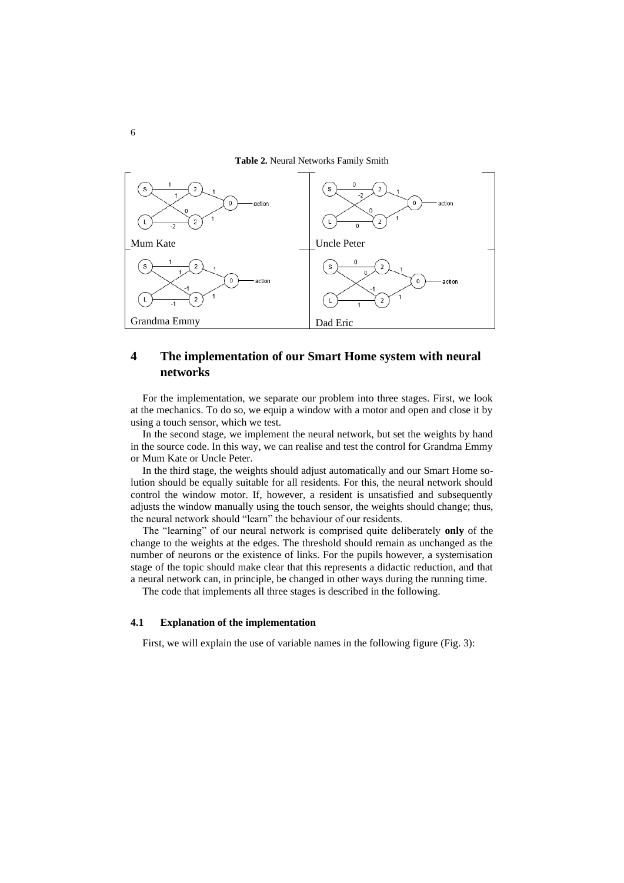**Table 2.** Neural Networks Family Smith



### **4 The implementation of our Smart Home system with neural networks**

For the implementation, we separate our problem into three stages. First, we look at the mechanics. To do so, we equip a window with a motor and open and close it by using a touch sensor, which we test.

In the second stage, we implement the neural network, but set the weights by hand in the source code. In this way, we can realise and test the control for Grandma Emmy or Mum Kate or Uncle Peter.

In the third stage, the weights should adjust automatically and our Smart Home solution should be equally suitable for all residents. For this, the neural network should control the window motor. If, however, a resident is unsatisfied and subsequently adjusts the window manually using the touch sensor, the weights should change; thus, the neural network should "learn" the behaviour of our residents.

The "learning" of our neural network is comprised quite deliberately **only** of the change to the weights at the edges. The threshold should remain as unchanged as the number of neurons or the existence of links. For the pupils however, a systemisation stage of the topic should make clear that this represents a didactic reduction, and that a neural network can, in principle, be changed in other ways during the running time.

The code that implements all three stages is described in the following.

### **4.1 Explanation of the implementation**

First, we will explain the use of variable names in the following figure (Fig. 3):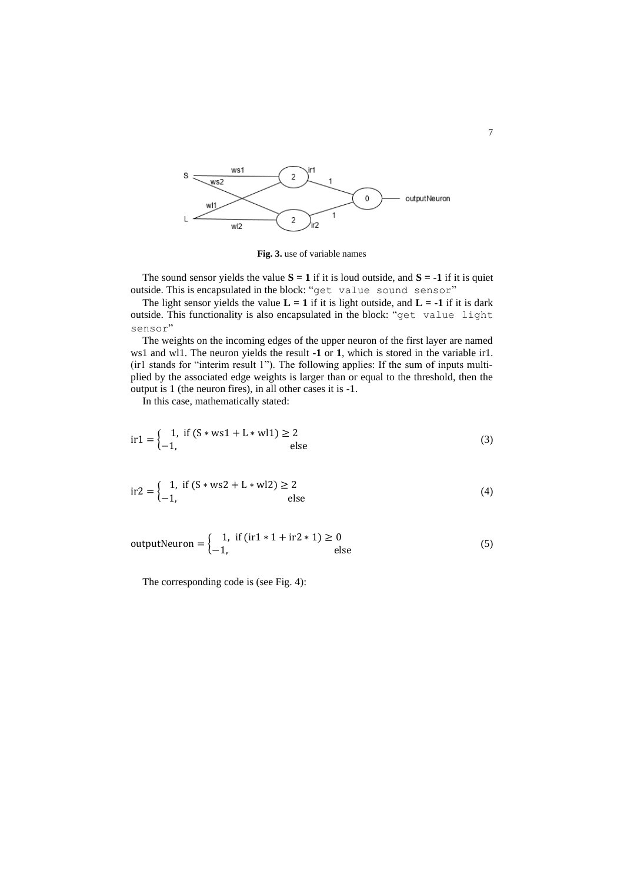

**Fig. 3.** use of variable names

The sound sensor yields the value  $S = 1$  if it is loud outside, and  $S = -1$  if it is quiet outside. This is encapsulated in the block: "get value sound sensor"

The light sensor yields the value  $L = 1$  if it is light outside, and  $L = -1$  if it is dark outside. This functionality is also encapsulated in the block: "get value light sensor"

The weights on the incoming edges of the upper neuron of the first layer are named ws1 and wl1. The neuron yields the result **-1** or **1**, which is stored in the variable ir1. (ir1 stands for "interim result 1"). The following applies: If the sum of inputs multiplied by the associated edge weights is larger than or equal to the threshold, then the output is 1 (the neuron fires), in all other cases it is -1.

In this case, mathematically stated:

$$
ir1 = \begin{cases} 1, & \text{if } (S * ws1 + L * w11) \ge 2\\ -1, & \text{else} \end{cases}
$$
(3)

$$
ir2 = \begin{cases} 1, & \text{if } (S * ws2 + L * w12) \ge 2\\ -1, & \text{else} \end{cases}
$$
(4)

outputNeuron = 
$$
\begin{cases} 1, & \text{if } (\text{ir1} * 1 + \text{ir2} * 1) \ge 0 \\ -1, & \text{else} \end{cases}
$$
 (5)

The corresponding code is (see Fig. 4):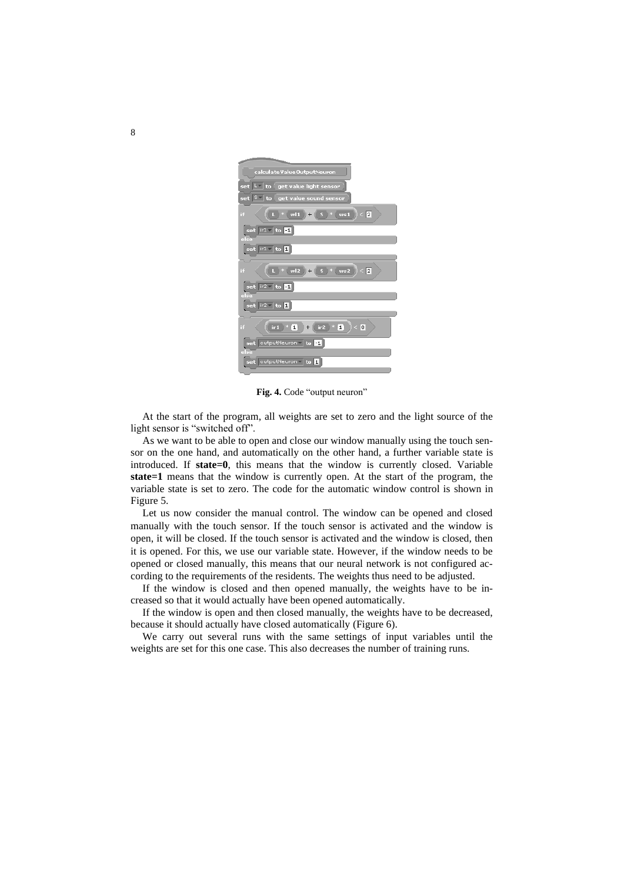| calculate Value Output Neuron                                    |
|------------------------------------------------------------------|
| set L to get value light sensor                                  |
| set $ S - \rangle$ to $\langle$ get value sound sensor           |
| wl1<br>$-$<br>< 2<br>Πf<br>ws1<br>$S^{\prime}$ $*$<br>$+$        |
| set ir1 to 1<br>else                                             |
| set $ $ ir1 $\sim$ to 1                                          |
| wl2<br>$S^*$ ws2 $ < 2$<br>$\ast$<br>if<br>$+$                   |
| set $ i/2 -  $ to $\Box$<br>else                                 |
| set $ i/2 -  $ to $\blacksquare$                                 |
| $*$ (1)<br>$<$ 0<br>ir2<br>* [1]<br>if<br>ir <sub>1</sub><br>$+$ |
| set outputNeuron to 1<br>else                                    |
| outputNeuron v to 1<br>set                                       |

**Fig. 4.** Code "output neuron"

At the start of the program, all weights are set to zero and the light source of the light sensor is "switched off".

As we want to be able to open and close our window manually using the touch sensor on the one hand, and automatically on the other hand, a further variable state is introduced. If **state=0**, this means that the window is currently closed. Variable **state=1** means that the window is currently open. At the start of the program, the variable state is set to zero. The code for the automatic window control is shown in Figure 5.

Let us now consider the manual control. The window can be opened and closed manually with the touch sensor. If the touch sensor is activated and the window is open, it will be closed. If the touch sensor is activated and the window is closed, then it is opened. For this, we use our variable state. However, if the window needs to be opened or closed manually, this means that our neural network is not configured according to the requirements of the residents. The weights thus need to be adjusted.

If the window is closed and then opened manually, the weights have to be increased so that it would actually have been opened automatically.

If the window is open and then closed manually, the weights have to be decreased, because it should actually have closed automatically (Figure 6).

We carry out several runs with the same settings of input variables until the weights are set for this one case. This also decreases the number of training runs.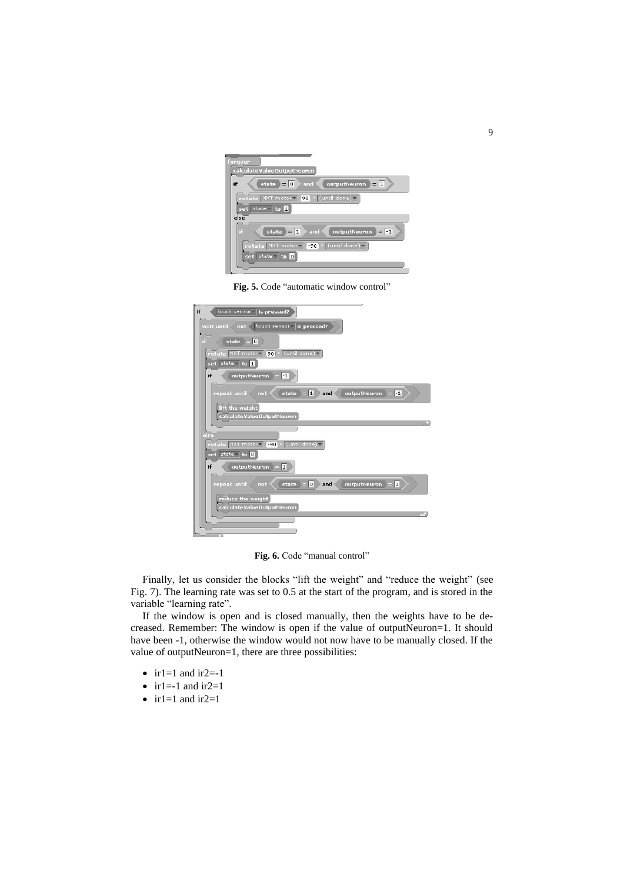

**Fig. 5.** Code "automatic window control"

| touch sensor is pressed?<br>if                                                   |
|----------------------------------------------------------------------------------|
| touch sensor is pressed?<br>wait until<br>not                                    |
| state $= 0$<br>if                                                                |
| rotate NXT motor   90 · (until done)                                             |
| set state lto I                                                                  |
| if<br>outputNeuron<br>$-1$                                                       |
| outputNeuron<br> 1 <br>$\left  -1\right $<br>repeat until<br>and<br>state<br>not |
| lift the weight                                                                  |
| calculate Value Output Neuron                                                    |
| else                                                                             |
| rotate NXT motory [-90] · (until done)                                           |
| $set$ state $\overline{0}$                                                       |
| outputNeuron<br>if<br>$\mathbf{1}$                                               |
| o<br>outputNeuron<br>$\vert$ 1<br>repeat until<br>state<br>and<br>not            |
| reduce the weight<br>calculate Value Output Neuron                               |
|                                                                                  |
|                                                                                  |

**Fig. 6.** Code "manual control"

Finally, let us consider the blocks "lift the weight" and "reduce the weight" (see Fig. 7). The learning rate was set to 0.5 at the start of the program, and is stored in the variable "learning rate".

If the window is open and is closed manually, then the weights have to be decreased. Remember: The window is open if the value of outputNeuron=1. It should have been -1, otherwise the window would not now have to be manually closed. If the value of outputNeuron=1, there are three possibilities:

- ir1=1 and ir2=-1
- ir1=-1 and ir2=1
- ir1=1 and ir2=1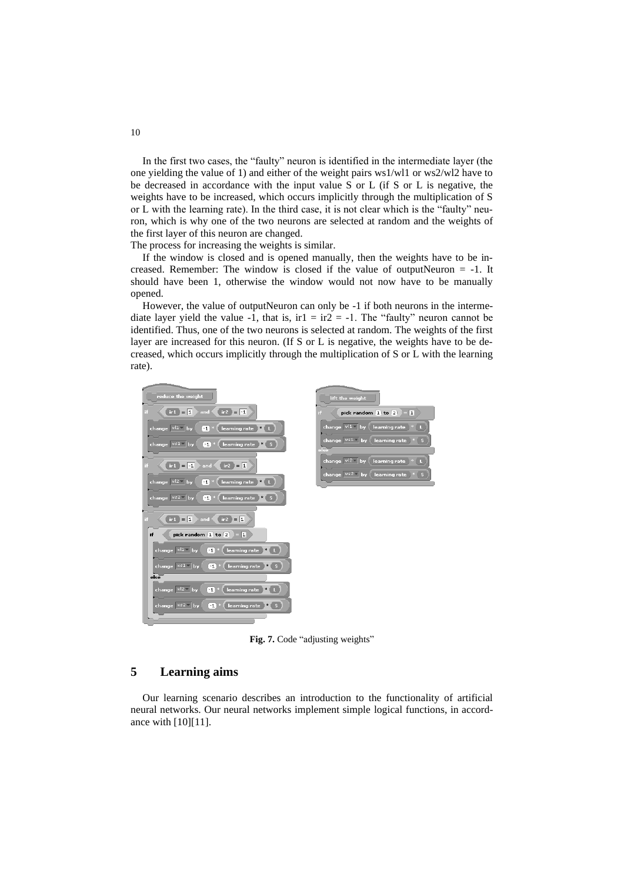In the first two cases, the "faulty" neuron is identified in the intermediate layer (the one yielding the value of 1) and either of the weight pairs ws1/wl1 or ws2/wl2 have to be decreased in accordance with the input value S or L (if S or L is negative, the weights have to be increased, which occurs implicitly through the multiplication of S or L with the learning rate). In the third case, it is not clear which is the "faulty" neuron, which is why one of the two neurons are selected at random and the weights of the first layer of this neuron are changed.

The process for increasing the weights is similar.

If the window is closed and is opened manually, then the weights have to be increased. Remember: The window is closed if the value of outputNeuron  $= -1$ . It should have been 1, otherwise the window would not now have to be manually opened.

However, the value of outputNeuron can only be -1 if both neurons in the intermediate layer yield the value -1, that is,  $ir1 = ir2 = -1$ . The "faulty" neuron cannot be identified. Thus, one of the two neurons is selected at random. The weights of the first layer are increased for this neuron. (If S or L is negative, the weights have to be decreased, which occurs implicitly through the multiplication of S or L with the learning rate).



**Fig. 7.** Code "adjusting weights"

### **5 Learning aims**

Our learning scenario describes an introduction to the functionality of artificial neural networks. Our neural networks implement simple logical functions, in accordance with [10][11].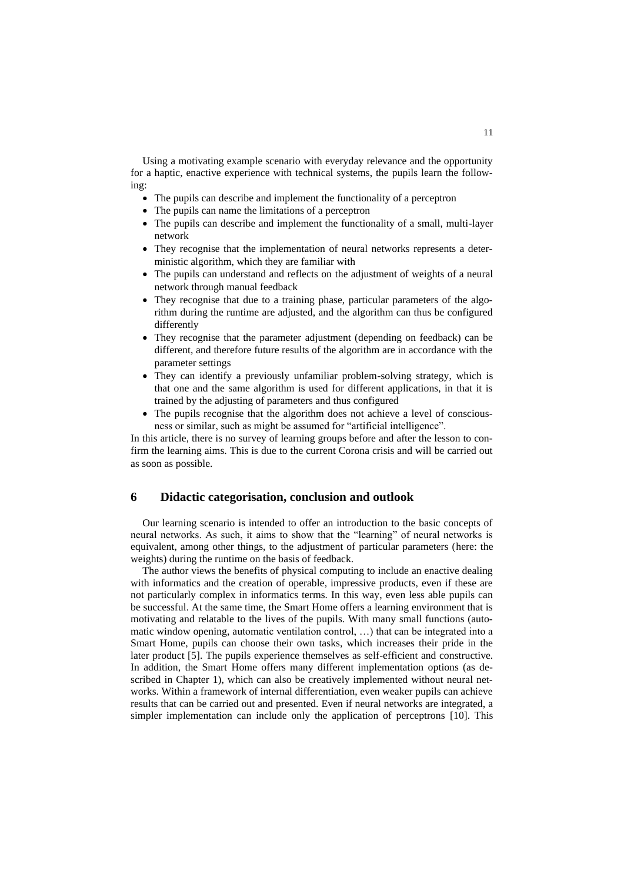Using a motivating example scenario with everyday relevance and the opportunity for a haptic, enactive experience with technical systems, the pupils learn the following:

- The pupils can describe and implement the functionality of a perceptron
- The pupils can name the limitations of a perceptron
- The pupils can describe and implement the functionality of a small, multi-layer network
- They recognise that the implementation of neural networks represents a deterministic algorithm, which they are familiar with
- The pupils can understand and reflects on the adjustment of weights of a neural network through manual feedback
- They recognise that due to a training phase, particular parameters of the algorithm during the runtime are adjusted, and the algorithm can thus be configured differently
- They recognise that the parameter adjustment (depending on feedback) can be different, and therefore future results of the algorithm are in accordance with the parameter settings
- They can identify a previously unfamiliar problem-solving strategy, which is that one and the same algorithm is used for different applications, in that it is trained by the adjusting of parameters and thus configured
- The pupils recognise that the algorithm does not achieve a level of consciousness or similar, such as might be assumed for "artificial intelligence".

In this article, there is no survey of learning groups before and after the lesson to confirm the learning aims. This is due to the current Corona crisis and will be carried out as soon as possible.

### **6 Didactic categorisation, conclusion and outlook**

Our learning scenario is intended to offer an introduction to the basic concepts of neural networks. As such, it aims to show that the "learning" of neural networks is equivalent, among other things, to the adjustment of particular parameters (here: the weights) during the runtime on the basis of feedback.

The author views the benefits of physical computing to include an enactive dealing with informatics and the creation of operable, impressive products, even if these are not particularly complex in informatics terms. In this way, even less able pupils can be successful. At the same time, the Smart Home offers a learning environment that is motivating and relatable to the lives of the pupils. With many small functions (automatic window opening, automatic ventilation control, …) that can be integrated into a Smart Home, pupils can choose their own tasks, which increases their pride in the later product [5]. The pupils experience themselves as self-efficient and constructive. In addition, the Smart Home offers many different implementation options (as described in Chapter 1), which can also be creatively implemented without neural networks. Within a framework of internal differentiation, even weaker pupils can achieve results that can be carried out and presented. Even if neural networks are integrated, a simpler implementation can include only the application of perceptrons [10]. This